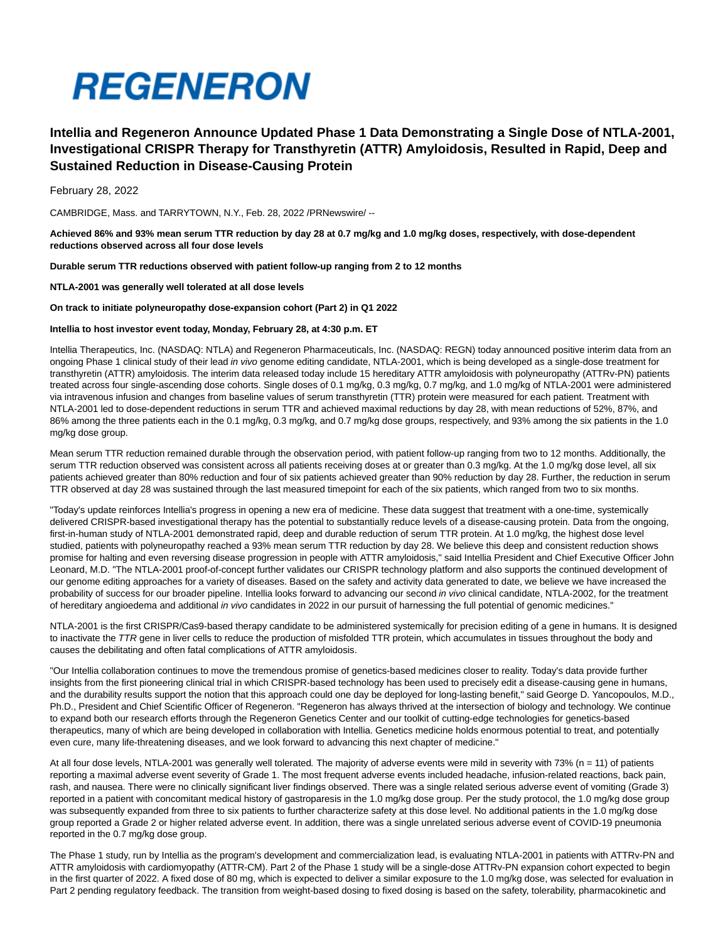

# **Intellia and Regeneron Announce Updated Phase 1 Data Demonstrating a Single Dose of NTLA-2001, Investigational CRISPR Therapy for Transthyretin (ATTR) Amyloidosis, Resulted in Rapid, Deep and Sustained Reduction in Disease-Causing Protein**

February 28, 2022

CAMBRIDGE, Mass. and TARRYTOWN, N.Y., Feb. 28, 2022 /PRNewswire/ --

**Achieved 86% and 93% mean serum TTR reduction by day 28 at 0.7 mg/kg and 1.0 mg/kg doses, respectively, with dose-dependent reductions observed across all four dose levels**

**Durable serum TTR reductions observed with patient follow-up ranging from 2 to 12 months**

**NTLA-2001 was generally well tolerated at all dose levels**

**On track to initiate polyneuropathy dose-expansion cohort (Part 2) in Q1 2022**

### **Intellia to host investor event today, Monday, February 28, at 4:30 p.m. ET**

Intellia Therapeutics, Inc. (NASDAQ: NTLA) and Regeneron Pharmaceuticals, Inc. (NASDAQ: REGN) today announced positive interim data from an ongoing Phase 1 clinical study of their lead in vivo genome editing candidate, NTLA-2001, which is being developed as a single-dose treatment for transthyretin (ATTR) amyloidosis. The interim data released today include 15 hereditary ATTR amyloidosis with polyneuropathy (ATTRv-PN) patients treated across four single-ascending dose cohorts. Single doses of 0.1 mg/kg, 0.3 mg/kg, 0.7 mg/kg, and 1.0 mg/kg of NTLA-2001 were administered via intravenous infusion and changes from baseline values of serum transthyretin (TTR) protein were measured for each patient. Treatment with NTLA-2001 led to dose-dependent reductions in serum TTR and achieved maximal reductions by day 28, with mean reductions of 52%, 87%, and 86% among the three patients each in the 0.1 mg/kg, 0.3 mg/kg, and 0.7 mg/kg dose groups, respectively, and 93% among the six patients in the 1.0 mg/kg dose group.

Mean serum TTR reduction remained durable through the observation period, with patient follow-up ranging from two to 12 months. Additionally, the serum TTR reduction observed was consistent across all patients receiving doses at or greater than 0.3 mg/kg. At the 1.0 mg/kg dose level, all six patients achieved greater than 80% reduction and four of six patients achieved greater than 90% reduction by day 28. Further, the reduction in serum TTR observed at day 28 was sustained through the last measured timepoint for each of the six patients, which ranged from two to six months.

"Today's update reinforces Intellia's progress in opening a new era of medicine. These data suggest that treatment with a one-time, systemically delivered CRISPR-based investigational therapy has the potential to substantially reduce levels of a disease-causing protein. Data from the ongoing, first-in-human study of NTLA-2001 demonstrated rapid, deep and durable reduction of serum TTR protein. At 1.0 mg/kg, the highest dose level studied, patients with polyneuropathy reached a 93% mean serum TTR reduction by day 28. We believe this deep and consistent reduction shows promise for halting and even reversing disease progression in people with ATTR amyloidosis," said Intellia President and Chief Executive Officer John Leonard, M.D. "The NTLA-2001 proof-of-concept further validates our CRISPR technology platform and also supports the continued development of our genome editing approaches for a variety of diseases. Based on the safety and activity data generated to date, we believe we have increased the probability of success for our broader pipeline. Intellia looks forward to advancing our second in vivo clinical candidate, NTLA-2002, for the treatment of hereditary angioedema and additional in vivo candidates in 2022 in our pursuit of harnessing the full potential of genomic medicines."

NTLA-2001 is the first CRISPR/Cas9-based therapy candidate to be administered systemically for precision editing of a gene in humans. It is designed to inactivate the TTR gene in liver cells to reduce the production of misfolded TTR protein, which accumulates in tissues throughout the body and causes the debilitating and often fatal complications of ATTR amyloidosis.

"Our Intellia collaboration continues to move the tremendous promise of genetics-based medicines closer to reality. Today's data provide further insights from the first pioneering clinical trial in which CRISPR-based technology has been used to precisely edit a disease-causing gene in humans, and the durability results support the notion that this approach could one day be deployed for long-lasting benefit," said George D. Yancopoulos, M.D., Ph.D., President and Chief Scientific Officer of Regeneron. "Regeneron has always thrived at the intersection of biology and technology. We continue to expand both our research efforts through the Regeneron Genetics Center and our toolkit of cutting-edge technologies for genetics-based therapeutics, many of which are being developed in collaboration with Intellia. Genetics medicine holds enormous potential to treat, and potentially even cure, many life-threatening diseases, and we look forward to advancing this next chapter of medicine."

At all four dose levels, NTLA-2001 was generally well tolerated. The majority of adverse events were mild in severity with 73% (n = 11) of patients reporting a maximal adverse event severity of Grade 1. The most frequent adverse events included headache, infusion-related reactions, back pain, rash, and nausea. There were no clinically significant liver findings observed. There was a single related serious adverse event of vomiting (Grade 3) reported in a patient with concomitant medical history of gastroparesis in the 1.0 mg/kg dose group. Per the study protocol, the 1.0 mg/kg dose group was subsequently expanded from three to six patients to further characterize safety at this dose level. No additional patients in the 1.0 mg/kg dose group reported a Grade 2 or higher related adverse event. In addition, there was a single unrelated serious adverse event of COVID-19 pneumonia reported in the 0.7 mg/kg dose group.

The Phase 1 study, run by Intellia as the program's development and commercialization lead, is evaluating NTLA-2001 in patients with ATTRv-PN and ATTR amyloidosis with cardiomyopathy (ATTR-CM). Part 2 of the Phase 1 study will be a single-dose ATTRv-PN expansion cohort expected to begin in the first quarter of 2022. A fixed dose of 80 mg, which is expected to deliver a similar exposure to the 1.0 mg/kg dose, was selected for evaluation in Part 2 pending regulatory feedback. The transition from weight-based dosing to fixed dosing is based on the safety, tolerability, pharmacokinetic and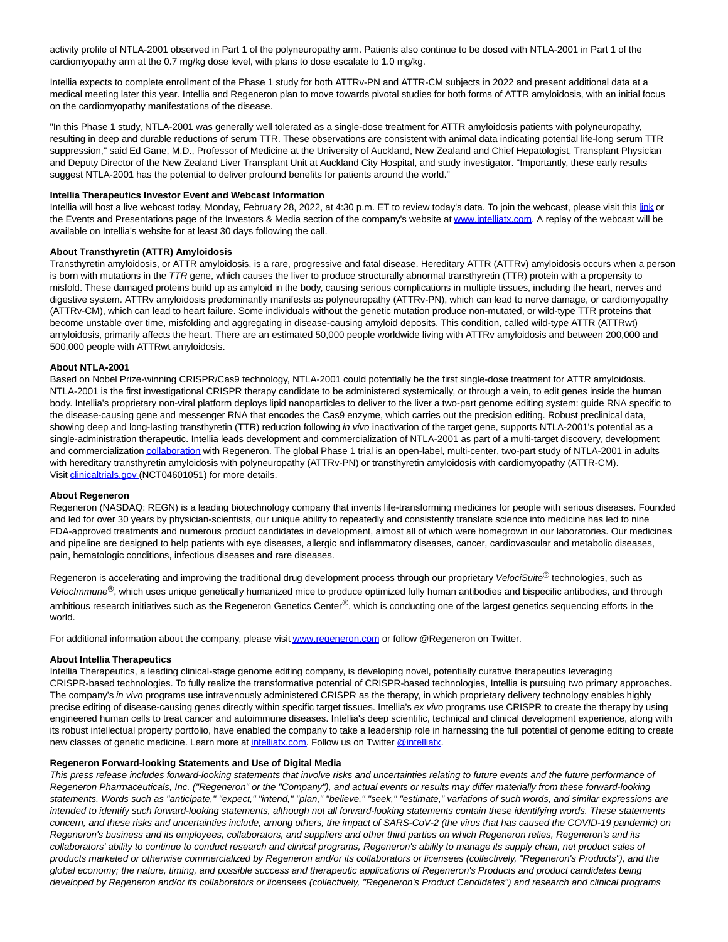activity profile of NTLA-2001 observed in Part 1 of the polyneuropathy arm. Patients also continue to be dosed with NTLA-2001 in Part 1 of the cardiomyopathy arm at the 0.7 mg/kg dose level, with plans to dose escalate to 1.0 mg/kg.

Intellia expects to complete enrollment of the Phase 1 study for both ATTRv-PN and ATTR-CM subjects in 2022 and present additional data at a medical meeting later this year. Intellia and Regeneron plan to move towards pivotal studies for both forms of ATTR amyloidosis, with an initial focus on the cardiomyopathy manifestations of the disease.

"In this Phase 1 study, NTLA-2001 was generally well tolerated as a single-dose treatment for ATTR amyloidosis patients with polyneuropathy, resulting in deep and durable reductions of serum TTR. These observations are consistent with animal data indicating potential life-long serum TTR suppression," said Ed Gane, M.D., Professor of Medicine at the University of Auckland, New Zealand and Chief Hepatologist, Transplant Physician and Deputy Director of the New Zealand Liver Transplant Unit at Auckland City Hospital, and study investigator. "Importantly, these early results suggest NTLA-2001 has the potential to deliver profound benefits for patients around the world."

### **Intellia Therapeutics Investor Event and Webcast Information**

Intellia will host a live webcast today, Monday, February 28, 2022, at 4:30 p.m. ET to review today's data. To join the webcast, please visit this [link o](https://c212.net/c/link/?t=0&l=en&o=3457165-1&h=661430312&u=https%3A%2F%2Fservices.choruscall.com%2Fmediaframe%2Fwebcast.html%3Fwebcastid%3DIr7Rj2P8&a=link)r the Events and Presentations page of the Investors & Media section of the company's website a[t www.intelliatx.com.](https://c212.net/c/link/?t=0&l=en&o=3457165-1&h=2312139351&u=https%3A%2F%2Fwww.intelliatx.com%2F%3Futm_source%3Dglobenewswire%26utm_medium%3Dpr%26utm_campaign%3D2021_pnsdata&a=www.intelliatx.com) A replay of the webcast will be available on Intellia's website for at least 30 days following the call.

### **About Transthyretin (ATTR) Amyloidosis**

Transthyretin amyloidosis, or ATTR amyloidosis, is a rare, progressive and fatal disease. Hereditary ATTR (ATTRv) amyloidosis occurs when a person is born with mutations in the TTR gene, which causes the liver to produce structurally abnormal transthyretin (TTR) protein with a propensity to misfold. These damaged proteins build up as amyloid in the body, causing serious complications in multiple tissues, including the heart, nerves and digestive system. ATTRv amyloidosis predominantly manifests as polyneuropathy (ATTRv-PN), which can lead to nerve damage, or cardiomyopathy (ATTRv-CM), which can lead to heart failure. Some individuals without the genetic mutation produce non-mutated, or wild-type TTR proteins that become unstable over time, misfolding and aggregating in disease-causing amyloid deposits. This condition, called wild-type ATTR (ATTRwt) amyloidosis, primarily affects the heart. There are an estimated 50,000 people worldwide living with ATTRv amyloidosis and between 200,000 and 500,000 people with ATTRwt amyloidosis.

## **About NTLA-2001**

Based on Nobel Prize-winning CRISPR/Cas9 technology, NTLA-2001 could potentially be the first single-dose treatment for ATTR amyloidosis. NTLA-2001 is the first investigational CRISPR therapy candidate to be administered systemically, or through a vein, to edit genes inside the human body. Intellia's proprietary non-viral platform deploys lipid nanoparticles to deliver to the liver a two-part genome editing system: guide RNA specific to the disease-causing gene and messenger RNA that encodes the Cas9 enzyme, which carries out the precision editing. Robust preclinical data, showing deep and long-lasting transthyretin (TTR) reduction following in vivo inactivation of the target gene, supports NTLA-2001's potential as a single-administration therapeutic. Intellia leads development and commercialization of NTLA-2001 as part of a multi-target discovery, development and commercializatio[n collaboration w](https://c212.net/c/link/?t=0&l=en&o=3457165-1&h=1377299495&u=https%3A%2F%2Fir.intelliatx.com%2Fnews-releases%2Fnews-release-details%2Fregeneron-and-intellia-therapeutics-expand-collaboration-develop&a=collaboration)ith Regeneron. The global Phase 1 trial is an open-label, multi-center, two-part study of NTLA-2001 in adults with hereditary transthyretin amyloidosis with polyneuropathy (ATTRv-PN) or transthyretin amyloidosis with cardiomyopathy (ATTR-CM). Visit [clinicaltrials.gov \(N](https://c212.net/c/link/?t=0&l=en&o=3457165-1&h=349483372&u=https%3A%2F%2Fwww.clinicaltrials.gov%2Fct2%2Fshow%2FNCT04601051%3Fterm%3DNCT04601051%26draw%3D2%26rank%3D1&a=clinicaltrials.gov+)CT04601051) for more details.

#### **About Regeneron**

Regeneron (NASDAQ: REGN) is a leading biotechnology company that invents life-transforming medicines for people with serious diseases. Founded and led for over 30 years by physician-scientists, our unique ability to repeatedly and consistently translate science into medicine has led to nine FDA-approved treatments and numerous product candidates in development, almost all of which were homegrown in our laboratories. Our medicines and pipeline are designed to help patients with eye diseases, allergic and inflammatory diseases, cancer, cardiovascular and metabolic diseases, pain, hematologic conditions, infectious diseases and rare diseases.

Regeneron is accelerating and improving the traditional drug development process through our proprietary VelociSuite® technologies, such as VelocImmune<sup>®</sup>, which uses unique genetically humanized mice to produce optimized fully human antibodies and bispecific antibodies, and through ambitious research initiatives such as the Regeneron Genetics Center<sup>®</sup>, which is conducting one of the largest genetics sequencing efforts in the world.

For additional information about the company, please visi[t www.regeneron.com o](https://c212.net/c/link/?t=0&l=en&o=3457165-1&h=2881065547&u=http%3A%2F%2Fwww.regeneron.com%2F&a=www.regeneron.com)r follow @Regeneron on Twitter.

#### **About Intellia Therapeutics**

Intellia Therapeutics, a leading clinical-stage genome editing company, is developing novel, potentially curative therapeutics leveraging CRISPR-based technologies. To fully realize the transformative potential of CRISPR-based technologies, Intellia is pursuing two primary approaches. The company's in vivo programs use intravenously administered CRISPR as the therapy, in which proprietary delivery technology enables highly precise editing of disease-causing genes directly within specific target tissues. Intellia's ex vivo programs use CRISPR to create the therapy by using engineered human cells to treat cancer and autoimmune diseases. Intellia's deep scientific, technical and clinical development experience, along with its robust intellectual property portfolio, have enabled the company to take a leadership role in harnessing the full potential of genome editing to create new classes of genetic medicine. Learn more a[t intelliatx.com.](https://c212.net/c/link/?t=0&l=en&o=3457165-1&h=3431109007&u=https%3A%2F%2Fwww.intelliatx.com%2F%3Futm_source%3Dglobenewswire%26utm_medium%3Dpr%26utm_campaign%3D2022_JPM%26utm_id%3D2022_JPM&a=intelliatx.com) Follow us on Twitter [@intelliatx.](https://c212.net/c/link/?t=0&l=en&o=3457165-1&h=2443622703&u=https%3A%2F%2Ftwitter.com%2Fintelliatx&a=%40intelliatx)

# **Regeneron Forward-looking Statements and Use of Digital Media**

This press release includes forward-looking statements that involve risks and uncertainties relating to future events and the future performance of Regeneron Pharmaceuticals, Inc. ("Regeneron" or the "Company"), and actual events or results may differ materially from these forward-looking statements. Words such as "anticipate," "expect," "intend," "plan," "believe," "seek," "estimate," variations of such words, and similar expressions are intended to identify such forward-looking statements, although not all forward-looking statements contain these identifying words. These statements concern, and these risks and uncertainties include, among others, the impact of SARS-CoV-2 (the virus that has caused the COVID-19 pandemic) on Regeneron's business and its employees, collaborators, and suppliers and other third parties on which Regeneron relies, Regeneron's and its collaborators' ability to continue to conduct research and clinical programs, Regeneron's ability to manage its supply chain, net product sales of products marketed or otherwise commercialized by Regeneron and/or its collaborators or licensees (collectively, "Regeneron's Products"), and the global economy; the nature, timing, and possible success and therapeutic applications of Regeneron's Products and product candidates being developed by Regeneron and/or its collaborators or licensees (collectively, "Regeneron's Product Candidates") and research and clinical programs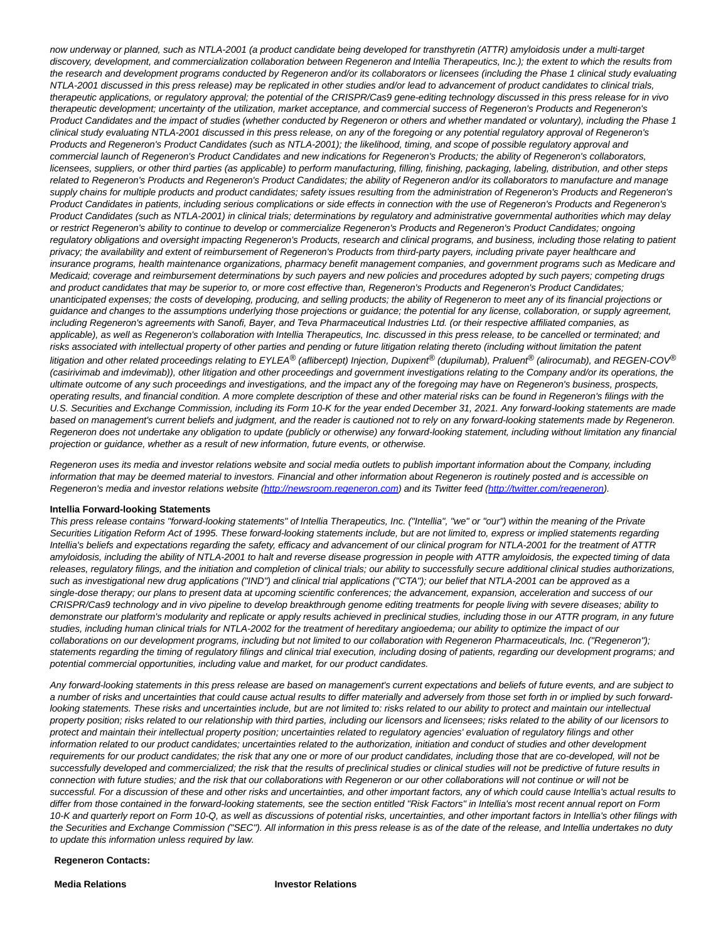now underway or planned, such as NTLA-2001 (a product candidate being developed for transthyretin (ATTR) amyloidosis under a multi-target discovery, development, and commercialization collaboration between Regeneron and Intellia Therapeutics, Inc.); the extent to which the results from the research and development programs conducted by Regeneron and/or its collaborators or licensees (including the Phase 1 clinical study evaluating NTLA-2001 discussed in this press release) may be replicated in other studies and/or lead to advancement of product candidates to clinical trials, therapeutic applications, or regulatory approval; the potential of the CRISPR/Cas9 gene-editing technology discussed in this press release for in vivo therapeutic development; uncertainty of the utilization, market acceptance, and commercial success of Regeneron's Products and Regeneron's Product Candidates and the impact of studies (whether conducted by Regeneron or others and whether mandated or voluntary), including the Phase 1 clinical study evaluating NTLA-2001 discussed in this press release, on any of the foregoing or any potential regulatory approval of Regeneron's Products and Regeneron's Product Candidates (such as NTLA-2001); the likelihood, timing, and scope of possible regulatory approval and commercial launch of Regeneron's Product Candidates and new indications for Regeneron's Products; the ability of Regeneron's collaborators, licensees, suppliers, or other third parties (as applicable) to perform manufacturing, filling, finishing, packaging, labeling, distribution, and other steps related to Regeneron's Products and Regeneron's Product Candidates; the ability of Regeneron and/or its collaborators to manufacture and manage supply chains for multiple products and product candidates; safety issues resulting from the administration of Regeneron's Products and Regeneron's Product Candidates in patients, including serious complications or side effects in connection with the use of Regeneron's Products and Regeneron's Product Candidates (such as NTLA-2001) in clinical trials; determinations by regulatory and administrative governmental authorities which may delay or restrict Regeneron's ability to continue to develop or commercialize Regeneron's Products and Regeneron's Product Candidates; ongoing regulatory obligations and oversight impacting Regeneron's Products, research and clinical programs, and business, including those relating to patient privacy; the availability and extent of reimbursement of Regeneron's Products from third-party payers, including private payer healthcare and insurance programs, health maintenance organizations, pharmacy benefit management companies, and government programs such as Medicare and Medicaid; coverage and reimbursement determinations by such payers and new policies and procedures adopted by such payers; competing drugs and product candidates that may be superior to, or more cost effective than, Regeneron's Products and Regeneron's Product Candidates; unanticipated expenses; the costs of developing, producing, and selling products; the ability of Regeneron to meet any of its financial projections or guidance and changes to the assumptions underlying those projections or guidance; the potential for any license, collaboration, or supply agreement, including Regeneron's agreements with Sanofi, Bayer, and Teva Pharmaceutical Industries Ltd. (or their respective affiliated companies, as applicable), as well as Regeneron's collaboration with Intellia Therapeutics, Inc. discussed in this press release, to be cancelled or terminated; and risks associated with intellectual property of other parties and pending or future litigation relating thereto (including without limitation the patent litigation and other related proceedings relating to EYLEA<sup>®</sup> (aflibercept) Injection, Dupixent<sup>®</sup> (dupilumab), Praluent<sup>®</sup> (alirocumab), and REGEN-COV<sup>®</sup> (casirivimab and imdevimab)), other litigation and other proceedings and government investigations relating to the Company and/or its operations, the ultimate outcome of any such proceedings and investigations, and the impact any of the foregoing may have on Regeneron's business, prospects, operating results, and financial condition. A more complete description of these and other material risks can be found in Regeneron's filings with the U.S. Securities and Exchange Commission, including its Form 10-K for the year ended December 31, 2021. Any forward-looking statements are made based on management's current beliefs and judgment, and the reader is cautioned not to rely on any forward-looking statements made by Regeneron. Regeneron does not undertake any obligation to update (publicly or otherwise) any forward-looking statement, including without limitation any financial projection or guidance, whether as a result of new information, future events, or otherwise.

Regeneron uses its media and investor relations website and social media outlets to publish important information about the Company, including information that may be deemed material to investors. Financial and other information about Regeneron is routinely posted and is accessible on Regeneron's media and investor relations website [\(http://newsroom.regeneron.com\)](http://newsroom.regeneron.com/) and its Twitter feed [\(http://twitter.com/regeneron\).](http://twitter.com/regeneron)

#### **Intellia Forward-looking Statements**

This press release contains "forward-looking statements" of Intellia Therapeutics, Inc. ("Intellia", "we" or "our") within the meaning of the Private Securities Litigation Reform Act of 1995. These forward-looking statements include, but are not limited to, express or implied statements regarding Intellia's beliefs and expectations regarding the safety, efficacy and advancement of our clinical program for NTLA-2001 for the treatment of ATTR amyloidosis, including the ability of NTLA-2001 to halt and reverse disease progression in people with ATTR amyloidosis, the expected timing of data releases, regulatory filings, and the initiation and completion of clinical trials; our ability to successfully secure additional clinical studies authorizations, such as investigational new drug applications ("IND") and clinical trial applications ("CTA"); our belief that NTLA-2001 can be approved as a single-dose therapy; our plans to present data at upcoming scientific conferences; the advancement, expansion, acceleration and success of our CRISPR/Cas9 technology and in vivo pipeline to develop breakthrough genome editing treatments for people living with severe diseases; ability to demonstrate our platform's modularity and replicate or apply results achieved in preclinical studies, including those in our ATTR program, in any future studies, including human clinical trials for NTLA-2002 for the treatment of hereditary angioedema; our ability to optimize the impact of our collaborations on our development programs, including but not limited to our collaboration with Regeneron Pharmaceuticals, Inc. ("Regeneron"); statements regarding the timing of regulatory filings and clinical trial execution, including dosing of patients, regarding our development programs; and potential commercial opportunities, including value and market, for our product candidates.

Any forward-looking statements in this press release are based on management's current expectations and beliefs of future events, and are subject to a number of risks and uncertainties that could cause actual results to differ materially and adversely from those set forth in or implied by such forwardlooking statements. These risks and uncertainties include, but are not limited to: risks related to our ability to protect and maintain our intellectual property position; risks related to our relationship with third parties, including our licensors and licensees; risks related to the ability of our licensors to protect and maintain their intellectual property position; uncertainties related to regulatory agencies' evaluation of regulatory filings and other information related to our product candidates; uncertainties related to the authorization, initiation and conduct of studies and other development requirements for our product candidates; the risk that any one or more of our product candidates, including those that are co-developed, will not be successfully developed and commercialized; the risk that the results of preclinical studies or clinical studies will not be predictive of future results in connection with future studies; and the risk that our collaborations with Regeneron or our other collaborations will not continue or will not be successful. For a discussion of these and other risks and uncertainties, and other important factors, any of which could cause Intellia's actual results to differ from those contained in the forward-looking statements, see the section entitled "Risk Factors" in Intellia's most recent annual report on Form 10-K and quarterly report on Form 10-Q, as well as discussions of potential risks, uncertainties, and other important factors in Intellia's other filings with the Securities and Exchange Commission ("SEC"). All information in this press release is as of the date of the release, and Intellia undertakes no duty to update this information unless required by law.

#### **Regeneron Contacts:**